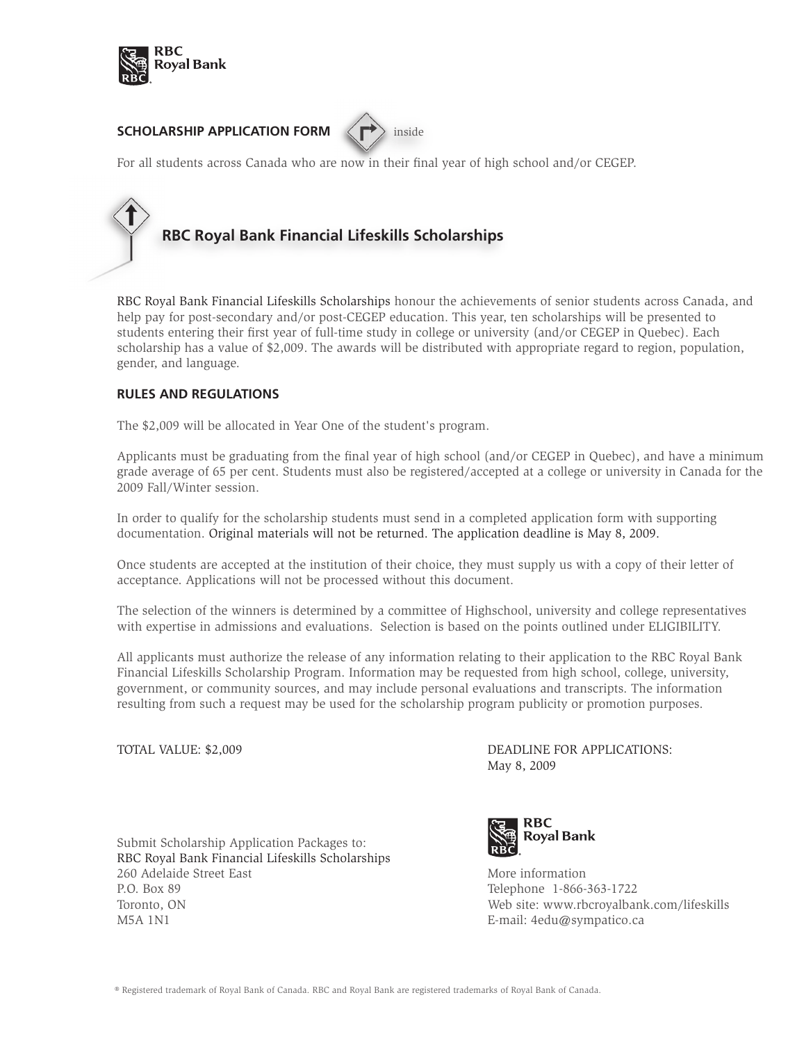

## **SCHOLARSHIP APPLICATION FORM**  $\left\langle \right. \right\langle \right. \left\langle \right. \right\rangle$  inside



For all students across Canada who are now in their final year of high school and/or CEGEP.

# **RBC Royal Bank Financial Lifeskills Scholarships**

RBC Royal Bank Financial Lifeskills Scholarships honour the achievements of senior students across Canada, and help pay for post-secondary and/or post-CEGEP education. This year, ten scholarships will be presented to students entering their first year of full-time study in college or university (and/or CEGEP in Quebec). Each scholarship has a value of \$2,009. The awards will be distributed with appropriate regard to region, population, gender, and language.

### **RULES AND REGULATIONS**

The \$2,009 will be allocated in Year One of the student's program.

Applicants must be graduating from the final year of high school (and/or CEGEP in Quebec), and have a minimum grade average of 65 per cent. Students must also be registered/accepted at a college or university in Canada for the 2009 Fall/Winter session.

In order to qualify for the scholarship students must send in a completed application form with supporting documentation. Original materials will not be returned. The application deadline is May 8, 2009.

Once students are accepted at the institution of their choice, they must supply us with a copy of their letter of acceptance. Applications will not be processed without this document.

The selection of the winners is determined by a committee of Highschool, university and college representatives with expertise in admissions and evaluations. Selection is based on the points outlined under ELIGIBILITY.

All applicants must authorize the release of any information relating to their application to the RBC Royal Bank Financial Lifeskills Scholarship Program. Information may be requested from high school, college, university, government, or community sources, and may include personal evaluations and transcripts. The information resulting from such a request may be used for the scholarship program publicity or promotion purposes.

TOTAL VALUE: \$2,009 DEADLINE FOR APPLICATIONS: May 8, 2009

Submit Scholarship Application Packages to: RBC Royal Bank Financial Lifeskills Scholarships 260 Adelaide Street East North Street East North Street East North Street East North Street East North Street P.O. Box 89 Telephone 1-866-363-1722 Toronto, ON Web site: www.rbcroyalbank.com/lifeskills M5A 1N1 E-mail: 4edu@sympatico.ca

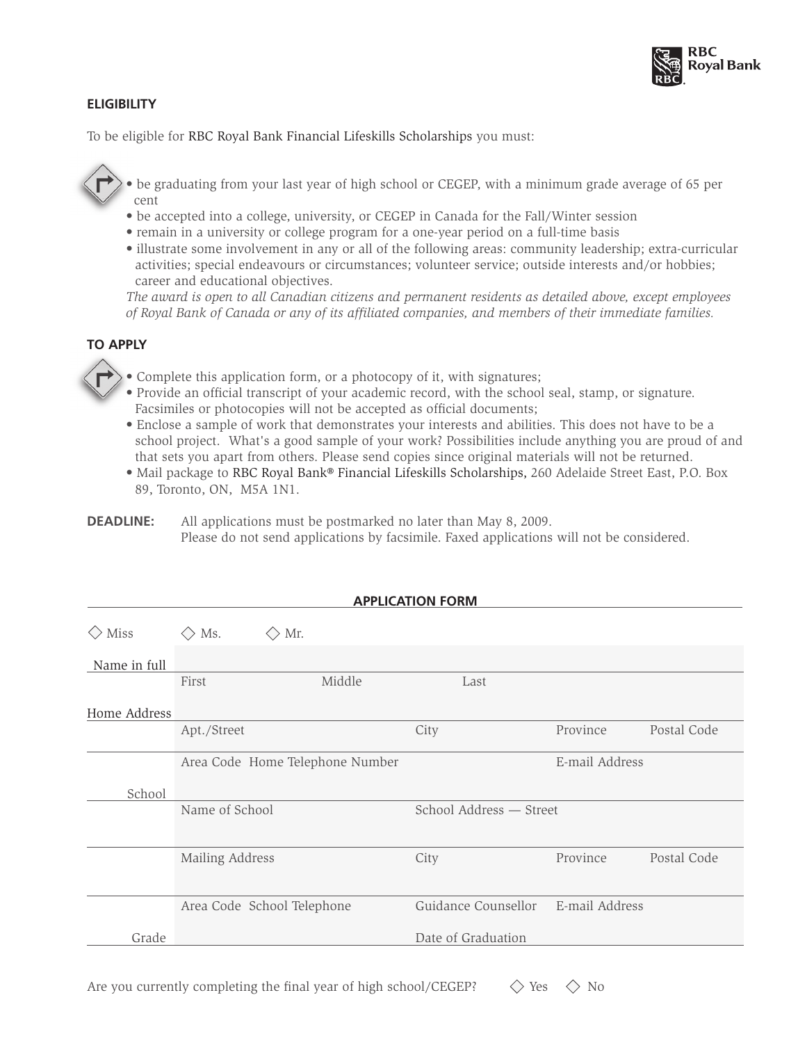

### **ELIGIBILITY**

To be eligible for RBC Royal Bank Financial Lifeskills Scholarships you must:

• be graduating from your last year of high school or CEGEP, with a minimum grade average of 65 per cent

- be accepted into a college, university, or CEGEP in Canada for the Fall/Winter session
- remain in a university or college program for a one-year period on a full-time basis
- illustrate some involvement in any or all of the following areas: community leadership; extra-curricular activities; special endeavours or circumstances; volunteer service; outside interests and/or hobbies; career and educational objectives.

*The award is open to all Canadian citizens and permanent residents as detailed above, except employees of Royal Bank of Canada or any of its affiliated companies, and members of their immediate families.* 

## **TO APPLY**

• Complete this application form, or a photocopy of it, with signatures;

- Provide an official transcript of your academic record, with the school seal, stamp, or signature. Facsimiles or photocopies will not be accepted as official documents;
- Enclose a sample of work that demonstrates your interests and abilities. This does not have to be a school project. What's a good sample of your work? Possibilities include anything you are proud of and that sets you apart from others. Please send copies since original materials will not be returned.
- Mail package to RBC Royal Bank® Financial Lifeskills Scholarships, 260 Adelaide Street East, P.O. Box 89, Toronto, ON, M5A 1N1.

**APPLICATION FORM**

**DEADLINE:** All applications must be postmarked no later than May 8, 2009. Please do not send applications by facsimile. Faxed applications will not be considered.

|                 |                                 |                            |        | <b>APPLICATION FORM</b> |                |             |  |
|-----------------|---------------------------------|----------------------------|--------|-------------------------|----------------|-------------|--|
| $\Diamond$ Miss | Ms.<br>$\langle \rangle$        | Mr.<br>$\langle \ \rangle$ |        |                         |                |             |  |
| Name in full    |                                 |                            |        |                         |                |             |  |
|                 | First                           |                            | Middle | Last                    |                |             |  |
| Home Address    |                                 |                            |        |                         |                |             |  |
|                 | Apt./Street                     |                            |        | City                    | Province       | Postal Code |  |
|                 | Area Code Home Telephone Number |                            |        |                         | E-mail Address |             |  |
| School          |                                 |                            |        |                         |                |             |  |
|                 | Name of School                  |                            |        | School Address - Street |                |             |  |
|                 |                                 |                            |        |                         |                |             |  |
|                 | Mailing Address                 |                            |        | City                    | Province       | Postal Code |  |
|                 |                                 |                            |        |                         |                |             |  |
|                 |                                 | Area Code School Telephone |        | Guidance Counsellor     | E-mail Address |             |  |
| Grade           |                                 |                            |        | Date of Graduation      |                |             |  |

Are you currently completing the final year of high school/CEGEP?  $\Diamond$  Yes  $\Diamond$  No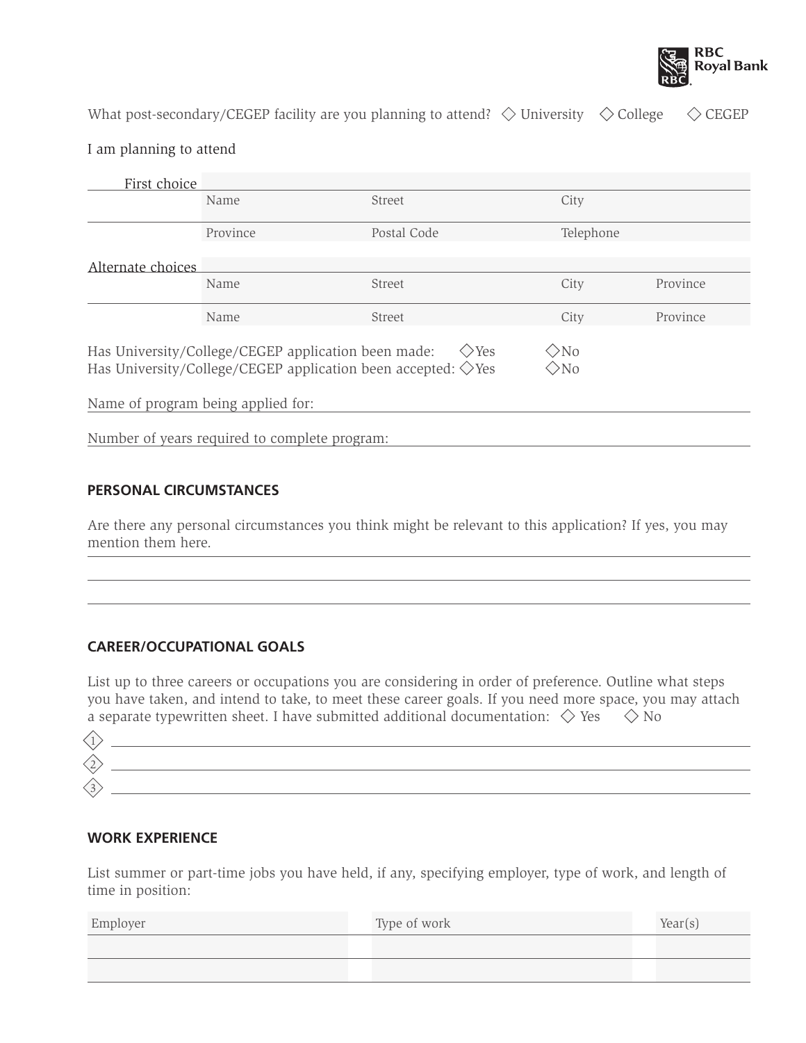

What post-secondary/CEGEP facility are you planning to attend?  $\diamondsuit$  University  $\diamondsuit$  College  $\diamondsuit$  CEGEP

### I am planning to attend

| First choice                                                                                                                                                        |                                               |             |           |          |
|---------------------------------------------------------------------------------------------------------------------------------------------------------------------|-----------------------------------------------|-------------|-----------|----------|
|                                                                                                                                                                     | Name                                          | Street      | City      |          |
|                                                                                                                                                                     | Province                                      | Postal Code | Telephone |          |
| Alternate choices                                                                                                                                                   |                                               |             |           |          |
|                                                                                                                                                                     | Name                                          | Street      | City      | Province |
|                                                                                                                                                                     | Name                                          | Street      | City      | Province |
| Has University/College/CEGEP application been made:<br>$>$ No<br>$\Diamond$ Yes<br>Has University/College/CEGEP application been accepted: $\Diamond$ Yes<br>$>$ No |                                               |             |           |          |
| Name of program being applied for:                                                                                                                                  |                                               |             |           |          |
|                                                                                                                                                                     | Number of years required to complete program: |             |           |          |

### **PERSONAL CIRCUMSTANCES**

Are there any personal circumstances you think might be relevant to this application? If yes, you may mention them here.

## **CAREER/OCCUPATIONAL GOALS**

List up to three careers or occupations you are considering in order of preference. Outline what steps you have taken, and intend to take, to meet these career goals. If you need more space, you may attach a separate typewritten sheet. I have submitted additional documentation:  $\Diamond$  Yes  $\Diamond$  No

### **WORK EXPERIENCE**

List summer or part-time jobs you have held, if any, specifying employer, type of work, and length of time in position:

| Employer | Type of work | Year(s) |
|----------|--------------|---------|
|          |              |         |
|          |              |         |